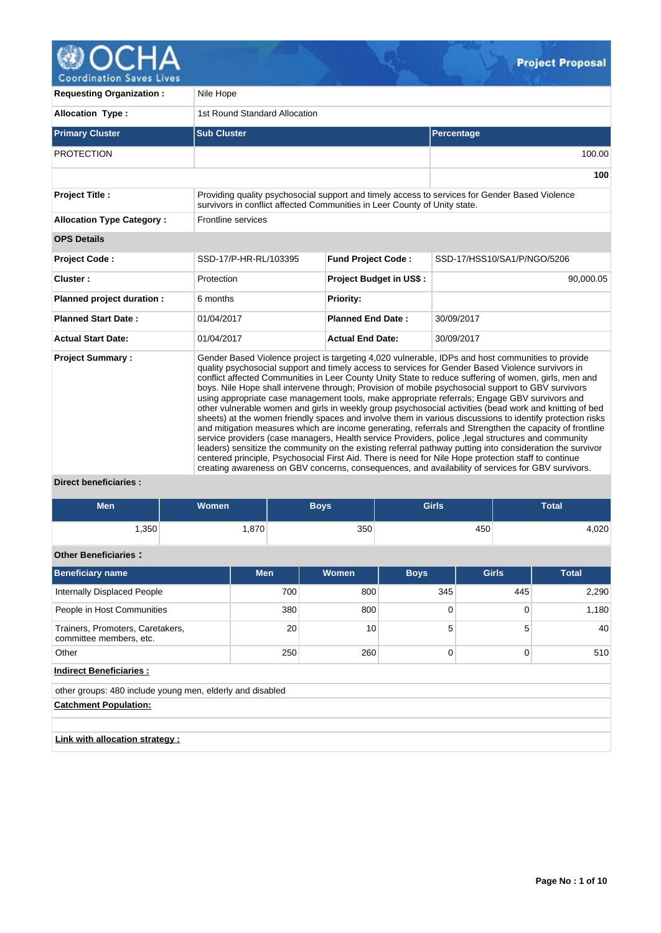

V

| <b>Requesting Organization:</b>                   | Nile Hope                                                                 |                                |                                                                                                                                                                                                                                                                                                                                                                                                                                                                                                                                                                                                                                                                                                                                                                                                                                                                                                                                                                                                                                                                                                                                                                                                                                                                                            |  |  |  |  |  |  |  |
|---------------------------------------------------|---------------------------------------------------------------------------|--------------------------------|--------------------------------------------------------------------------------------------------------------------------------------------------------------------------------------------------------------------------------------------------------------------------------------------------------------------------------------------------------------------------------------------------------------------------------------------------------------------------------------------------------------------------------------------------------------------------------------------------------------------------------------------------------------------------------------------------------------------------------------------------------------------------------------------------------------------------------------------------------------------------------------------------------------------------------------------------------------------------------------------------------------------------------------------------------------------------------------------------------------------------------------------------------------------------------------------------------------------------------------------------------------------------------------------|--|--|--|--|--|--|--|
| <b>Allocation Type:</b>                           | 1st Round Standard Allocation                                             |                                |                                                                                                                                                                                                                                                                                                                                                                                                                                                                                                                                                                                                                                                                                                                                                                                                                                                                                                                                                                                                                                                                                                                                                                                                                                                                                            |  |  |  |  |  |  |  |
| <b>Primary Cluster</b>                            | <b>Sub Cluster</b>                                                        |                                | Percentage                                                                                                                                                                                                                                                                                                                                                                                                                                                                                                                                                                                                                                                                                                                                                                                                                                                                                                                                                                                                                                                                                                                                                                                                                                                                                 |  |  |  |  |  |  |  |
| <b>PROTECTION</b>                                 |                                                                           |                                | 100.00                                                                                                                                                                                                                                                                                                                                                                                                                                                                                                                                                                                                                                                                                                                                                                                                                                                                                                                                                                                                                                                                                                                                                                                                                                                                                     |  |  |  |  |  |  |  |
|                                                   |                                                                           |                                | 100                                                                                                                                                                                                                                                                                                                                                                                                                                                                                                                                                                                                                                                                                                                                                                                                                                                                                                                                                                                                                                                                                                                                                                                                                                                                                        |  |  |  |  |  |  |  |
| <b>Project Title:</b>                             | survivors in conflict affected Communities in Leer County of Unity state. |                                | Providing quality psychosocial support and timely access to services for Gender Based Violence                                                                                                                                                                                                                                                                                                                                                                                                                                                                                                                                                                                                                                                                                                                                                                                                                                                                                                                                                                                                                                                                                                                                                                                             |  |  |  |  |  |  |  |
| <b>Allocation Type Category:</b>                  | Frontline services                                                        |                                |                                                                                                                                                                                                                                                                                                                                                                                                                                                                                                                                                                                                                                                                                                                                                                                                                                                                                                                                                                                                                                                                                                                                                                                                                                                                                            |  |  |  |  |  |  |  |
| <b>OPS Details</b>                                |                                                                           |                                |                                                                                                                                                                                                                                                                                                                                                                                                                                                                                                                                                                                                                                                                                                                                                                                                                                                                                                                                                                                                                                                                                                                                                                                                                                                                                            |  |  |  |  |  |  |  |
| <b>Project Code:</b>                              | SSD-17/P-HR-RL/103395                                                     | <b>Fund Project Code:</b>      | SSD-17/HSS10/SA1/P/NGO/5206                                                                                                                                                                                                                                                                                                                                                                                                                                                                                                                                                                                                                                                                                                                                                                                                                                                                                                                                                                                                                                                                                                                                                                                                                                                                |  |  |  |  |  |  |  |
| Cluster:                                          | Protection                                                                | <b>Project Budget in US\$:</b> | 90,000.05                                                                                                                                                                                                                                                                                                                                                                                                                                                                                                                                                                                                                                                                                                                                                                                                                                                                                                                                                                                                                                                                                                                                                                                                                                                                                  |  |  |  |  |  |  |  |
| Planned project duration :                        | 6 months                                                                  | <b>Priority:</b>               |                                                                                                                                                                                                                                                                                                                                                                                                                                                                                                                                                                                                                                                                                                                                                                                                                                                                                                                                                                                                                                                                                                                                                                                                                                                                                            |  |  |  |  |  |  |  |
| <b>Planned Start Date:</b>                        | 01/04/2017                                                                | <b>Planned End Date:</b>       | 30/09/2017                                                                                                                                                                                                                                                                                                                                                                                                                                                                                                                                                                                                                                                                                                                                                                                                                                                                                                                                                                                                                                                                                                                                                                                                                                                                                 |  |  |  |  |  |  |  |
| <b>Actual Start Date:</b>                         | 01/04/2017                                                                | <b>Actual End Date:</b>        | 30/09/2017                                                                                                                                                                                                                                                                                                                                                                                                                                                                                                                                                                                                                                                                                                                                                                                                                                                                                                                                                                                                                                                                                                                                                                                                                                                                                 |  |  |  |  |  |  |  |
| <b>Project Summary:</b><br>Diract hangficiaries . |                                                                           |                                | Gender Based Violence project is targeting 4,020 vulnerable, IDPs and host communities to provide<br>quality psychosocial support and timely access to services for Gender Based Violence survivors in<br>conflict affected Communities in Leer County Unity State to reduce suffering of women, girls, men and<br>boys. Nile Hope shall intervene through; Provision of mobile psychosocial support to GBV survivors<br>using appropriate case management tools, make appropriate referrals; Engage GBV survivors and<br>other vulnerable women and girls in weekly group psychosocial activities (bead work and knitting of bed<br>sheets) at the women friendly spaces and involve them in various discussions to identify protection risks<br>and mitigation measures which are income generating, referrals and Strengthen the capacity of frontline<br>service providers (case managers, Health service Providers, police , legal structures and community<br>leaders) sensitize the community on the existing referral pathway putting into consideration the survivor<br>centered principle, Psychosocial First Aid. There is need for Nile Hope protection staff to continue<br>creating awareness on GBV concerns, consequences, and availability of services for GBV survivors. |  |  |  |  |  |  |  |

 $\mathcal{G}$ 

### **Direct beneficiaries :**

| <b>Men</b>                                                  | <b>Women</b> |            | <b>Boys</b>  | <b>Girls</b> |              |     | <b>Total</b> |  |       |  |  |
|-------------------------------------------------------------|--------------|------------|--------------|--------------|--------------|-----|--------------|--|-------|--|--|
| 1,350                                                       |              | 1,870      | 350          |              | 450          |     |              |  | 4,020 |  |  |
| <b>Other Beneficiaries:</b>                                 |              |            |              |              |              |     |              |  |       |  |  |
| <b>Beneficiary name</b>                                     |              | <b>Men</b> | <b>Women</b> | <b>Boys</b>  | <b>Girls</b> |     | <b>Total</b> |  |       |  |  |
| <b>Internally Displaced People</b>                          |              | 700        | 800          | 345          |              | 445 | 2,290        |  |       |  |  |
| People in Host Communities                                  |              | 380        | 800          | 0            | 0            |     | 1,180        |  |       |  |  |
| Trainers, Promoters, Caretakers,<br>committee members, etc. |              | 20         | 10           | 5            |              | 5   | 40           |  |       |  |  |
| Other                                                       |              | 250        | 260          | 0            |              | 0   | 510          |  |       |  |  |
| <b>Indirect Beneficiaries:</b>                              |              |            |              |              |              |     |              |  |       |  |  |
| other groups: 480 include young men, elderly and disabled   |              |            |              |              |              |     |              |  |       |  |  |
| <b>Catchment Population:</b>                                |              |            |              |              |              |     |              |  |       |  |  |
|                                                             |              |            |              |              |              |     |              |  |       |  |  |
| Link with allocation strategy:                              |              |            |              |              |              |     |              |  |       |  |  |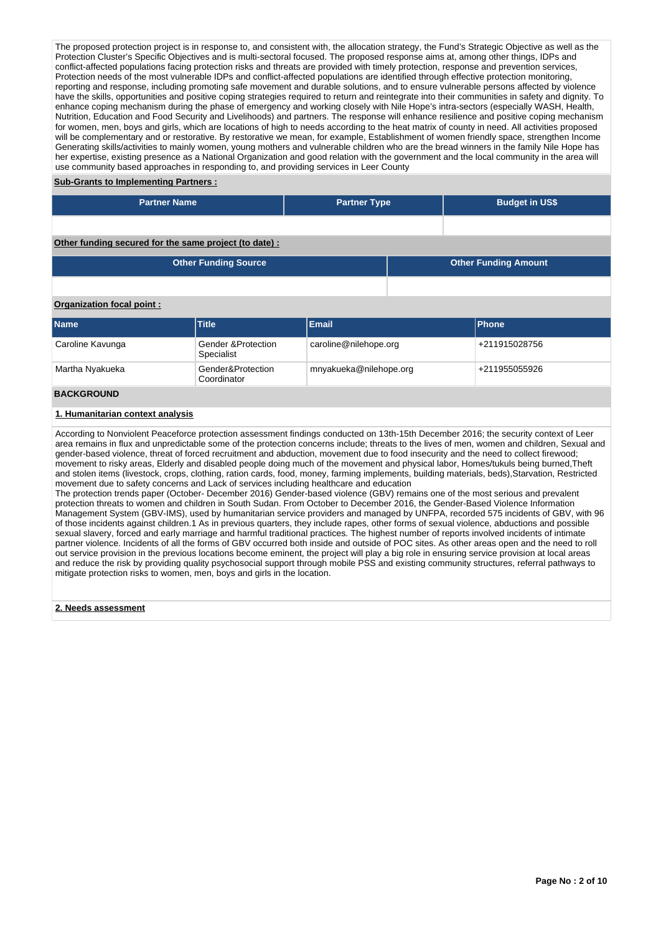The proposed protection project is in response to, and consistent with, the allocation strategy, the Fund's Strategic Objective as well as the Protection Cluster's Specific Objectives and is multi-sectoral focused. The proposed response aims at, among other things, IDPs and conflict-affected populations facing protection risks and threats are provided with timely protection, response and prevention services, Protection needs of the most vulnerable IDPs and conflict-affected populations are identified through effective protection monitoring, reporting and response, including promoting safe movement and durable solutions, and to ensure vulnerable persons affected by violence have the skills, opportunities and positive coping strategies required to return and reintegrate into their communities in safety and dignity. To enhance coping mechanism during the phase of emergency and working closely with Nile Hope's intra-sectors (especially WASH, Health, Nutrition, Education and Food Security and Livelihoods) and partners. The response will enhance resilience and positive coping mechanism for women, men, boys and girls, which are locations of high to needs according to the heat matrix of county in need. All activities proposed will be complementary and or restorative. By restorative we mean, for example, Establishment of women friendly space, strengthen Income Generating skills/activities to mainly women, young mothers and vulnerable children who are the bread winners in the family Nile Hope has her expertise, existing presence as a National Organization and good relation with the government and the local community in the area will use community based approaches in responding to, and providing services in Leer County

### **Sub-Grants to Implementing Partners :**

| <b>Partner Name</b>                                   | <b>Partner Type</b> | <b>Budget in US\$</b>       |
|-------------------------------------------------------|---------------------|-----------------------------|
|                                                       |                     |                             |
| Other funding secured for the same project (to date): |                     |                             |
| <b>Other Funding Source</b>                           |                     | <b>Other Funding Amount</b> |

### **Organization focal point :**

| <b>Name</b>          | <b>Title</b>                                | <b>Email</b>           | <b>IPhone</b> |
|----------------------|---------------------------------------------|------------------------|---------------|
| Caroline Kavunga     | <b>Gender &amp;Protection</b><br>Specialist | caroline@nilehope.org  | +211915028756 |
| Martha Nyakueka      | Gender&Protection<br>Coordinator            | mnyakueka@nilehope.org | +211955055926 |
| $- 1 - 11 - 11 - 11$ |                                             |                        |               |

# **BACKGROUND**

### **1. Humanitarian context analysis**

According to Nonviolent Peaceforce protection assessment findings conducted on 13th-15th December 2016; the security context of Leer area remains in flux and unpredictable some of the protection concerns include; threats to the lives of men, women and children, Sexual and gender-based violence, threat of forced recruitment and abduction, movement due to food insecurity and the need to collect firewood; movement to risky areas, Elderly and disabled people doing much of the movement and physical labor, Homes/tukuls being burned,Theft and stolen items (livestock, crops, clothing, ration cards, food, money, farming implements, building materials, beds),Starvation, Restricted movement due to safety concerns and Lack of services including healthcare and education

The protection trends paper (October- December 2016) Gender-based violence (GBV) remains one of the most serious and prevalent protection threats to women and children in South Sudan. From October to December 2016, the Gender-Based Violence Information Management System (GBV-IMS), used by humanitarian service providers and managed by UNFPA, recorded 575 incidents of GBV, with 96 of those incidents against children.1 As in previous quarters, they include rapes, other forms of sexual violence, abductions and possible sexual slavery, forced and early marriage and harmful traditional practices. The highest number of reports involved incidents of intimate partner violence. Incidents of all the forms of GBV occurred both inside and outside of POC sites. As other areas open and the need to roll out service provision in the previous locations become eminent, the project will play a big role in ensuring service provision at local areas and reduce the risk by providing quality psychosocial support through mobile PSS and existing community structures, referral pathways to mitigate protection risks to women, men, boys and girls in the location.

#### **2. Needs assessment**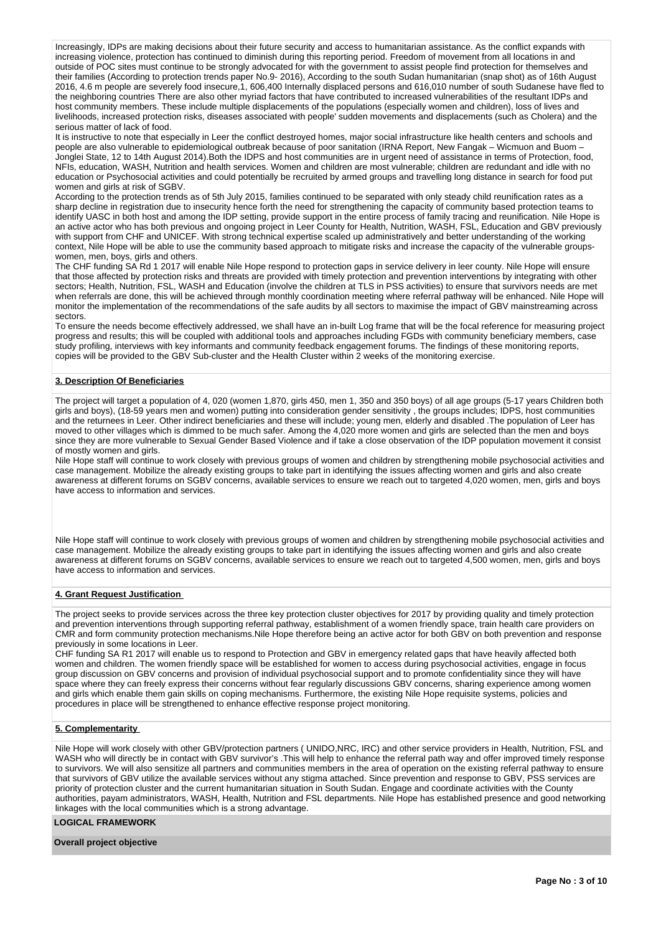Increasingly, IDPs are making decisions about their future security and access to humanitarian assistance. As the conflict expands with increasing violence, protection has continued to diminish during this reporting period. Freedom of movement from all locations in and outside of POC sites must continue to be strongly advocated for with the government to assist people find protection for themselves and their families (According to protection trends paper No.9- 2016), According to the south Sudan humanitarian (snap shot) as of 16th August 2016, 4.6 m people are severely food insecure,1, 606,400 Internally displaced persons and 616,010 number of south Sudanese have fled to the neighboring countries There are also other myriad factors that have contributed to increased vulnerabilities of the resultant IDPs and host community members. These include multiple displacements of the populations (especially women and children), loss of lives and livelihoods, increased protection risks, diseases associated with people' sudden movements and displacements (such as Cholera) and the serious matter of lack of food.

It is instructive to note that especially in Leer the conflict destroyed homes, major social infrastructure like health centers and schools and people are also vulnerable to epidemiological outbreak because of poor sanitation (IRNA Report, New Fangak – Wicmuon and Buom – Jonglei State, 12 to 14th August 2014).Both the IDPS and host communities are in urgent need of assistance in terms of Protection, food, NFIs, education, WASH, Nutrition and health services. Women and children are most vulnerable; children are redundant and idle with no education or Psychosocial activities and could potentially be recruited by armed groups and travelling long distance in search for food put women and girls at risk of SGBV.

According to the protection trends as of 5th July 2015, families continued to be separated with only steady child reunification rates as a sharp decline in registration due to insecurity hence forth the need for strengthening the capacity of community based protection teams to identify UASC in both host and among the IDP setting, provide support in the entire process of family tracing and reunification. Nile Hope is an active actor who has both previous and ongoing project in Leer County for Health, Nutrition, WASH, FSL, Education and GBV previously with support from CHF and UNICEF. With strong technical expertise scaled up administratively and better understanding of the working context, Nile Hope will be able to use the community based approach to mitigate risks and increase the capacity of the vulnerable groupswomen, men, boys, girls and others.

The CHF funding SA Rd 1 2017 will enable Nile Hope respond to protection gaps in service delivery in leer county. Nile Hope will ensure that those affected by protection risks and threats are provided with timely protection and prevention interventions by integrating with other sectors; Health, Nutrition, FSL, WASH and Education (involve the children at TLS in PSS activities) to ensure that survivors needs are met when referrals are done, this will be achieved through monthly coordination meeting where referral pathway will be enhanced. Nile Hope will monitor the implementation of the recommendations of the safe audits by all sectors to maximise the impact of GBV mainstreaming across sectors.

To ensure the needs become effectively addressed, we shall have an in-built Log frame that will be the focal reference for measuring project progress and results; this will be coupled with additional tools and approaches including FGDs with community beneficiary members, case study profiling, interviews with key informants and community feedback engagement forums. The findings of these monitoring reports, copies will be provided to the GBV Sub-cluster and the Health Cluster within 2 weeks of the monitoring exercise.

### **3. Description Of Beneficiaries**

The project will target a population of 4, 020 (women 1,870, girls 450, men 1, 350 and 350 boys) of all age groups (5-17 years Children both girls and boys), (18-59 years men and women) putting into consideration gender sensitivity , the groups includes; IDPS, host communities and the returnees in Leer. Other indirect beneficiaries and these will include; young men, elderly and disabled .The population of Leer has moved to other villages which is dimmed to be much safer. Among the 4,020 more women and girls are selected than the men and boys since they are more vulnerable to Sexual Gender Based Violence and if take a close observation of the IDP population movement it consist of mostly women and girls.

Nile Hope staff will continue to work closely with previous groups of women and children by strengthening mobile psychosocial activities and case management. Mobilize the already existing groups to take part in identifying the issues affecting women and girls and also create awareness at different forums on SGBV concerns, available services to ensure we reach out to targeted 4,020 women, men, girls and boys have access to information and services.

Nile Hope staff will continue to work closely with previous groups of women and children by strengthening mobile psychosocial activities and case management. Mobilize the already existing groups to take part in identifying the issues affecting women and girls and also create awareness at different forums on SGBV concerns, available services to ensure we reach out to targeted 4,500 women, men, girls and boys have access to information and services.

#### **4. Grant Request Justification**

The project seeks to provide services across the three key protection cluster objectives for 2017 by providing quality and timely protection and prevention interventions through supporting referral pathway, establishment of a women friendly space, train health care providers on CMR and form community protection mechanisms.Nile Hope therefore being an active actor for both GBV on both prevention and response previously in some locations in Leer.

CHF funding SA R1 2017 will enable us to respond to Protection and GBV in emergency related gaps that have heavily affected both women and children. The women friendly space will be established for women to access during psychosocial activities, engage in focus group discussion on GBV concerns and provision of individual psychosocial support and to promote confidentiality since they will have space where they can freely express their concerns without fear regularly discussions GBV concerns, sharing experience among women and girls which enable them gain skills on coping mechanisms. Furthermore, the existing Nile Hope requisite systems, policies and procedures in place will be strengthened to enhance effective response project monitoring.

### **5. Complementarity**

Nile Hope will work closely with other GBV/protection partners ( UNIDO,NRC, IRC) and other service providers in Health, Nutrition, FSL and WASH who will directly be in contact with GBV survivor's .This will help to enhance the referral path way and offer improved timely response to survivors. We will also sensitize all partners and communities members in the area of operation on the existing referral pathway to ensure that survivors of GBV utilize the available services without any stigma attached. Since prevention and response to GBV, PSS services are priority of protection cluster and the current humanitarian situation in South Sudan. Engage and coordinate activities with the County authorities, payam administrators, WASH, Health, Nutrition and FSL departments. Nile Hope has established presence and good networking linkages with the local communities which is a strong advantage.

### **LOGICAL FRAMEWORK**

#### **Overall project objective**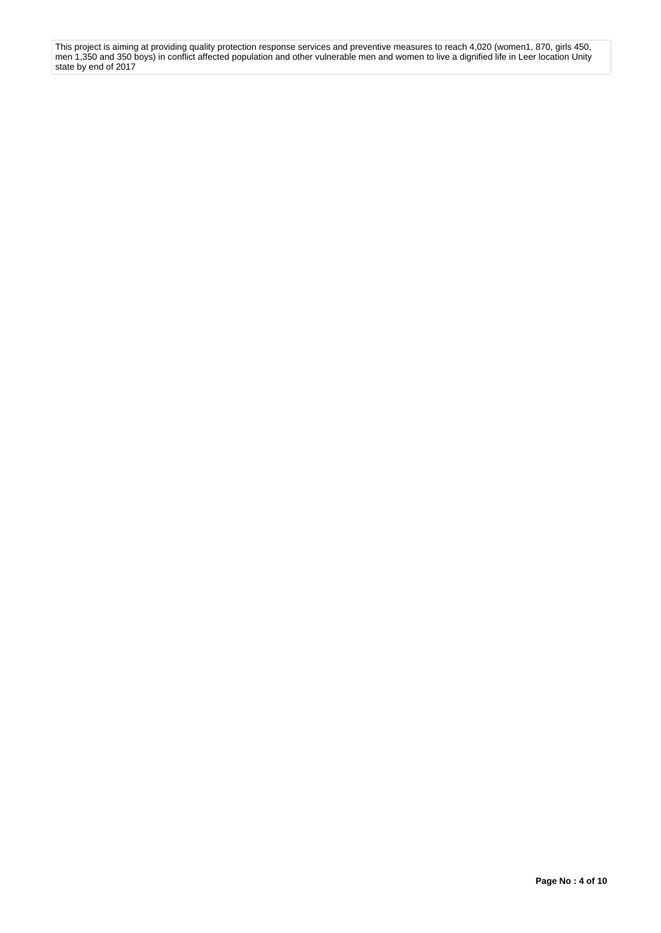This project is aiming at providing quality protection response services and preventive measures to reach 4,020 (women1, 870, girls 450, men 1,350 and 350 boys) in conflict affected population and other vulnerable men and women to live a dignified life in Leer location Unity state by end of 2017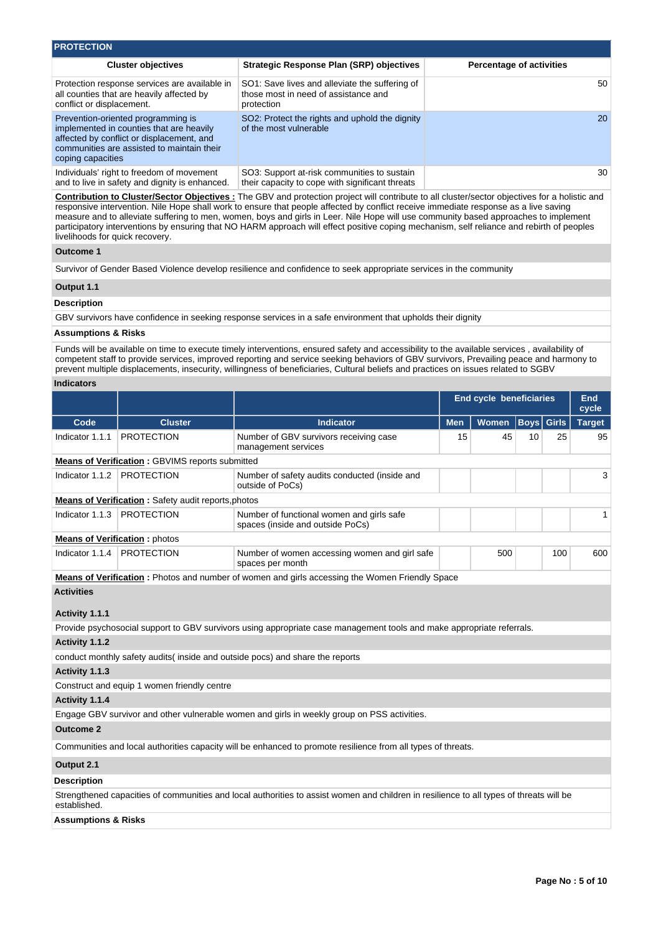| <b>PROTECTION</b>                                                                                                                                                                              |                                                                                                      |                                 |  |  |  |  |  |  |  |  |
|------------------------------------------------------------------------------------------------------------------------------------------------------------------------------------------------|------------------------------------------------------------------------------------------------------|---------------------------------|--|--|--|--|--|--|--|--|
| <b>Cluster objectives</b>                                                                                                                                                                      | <b>Strategic Response Plan (SRP) objectives</b>                                                      | <b>Percentage of activities</b> |  |  |  |  |  |  |  |  |
| Protection response services are available in<br>all counties that are heavily affected by<br>conflict or displacement.                                                                        | SO1: Save lives and alleviate the suffering of<br>those most in need of assistance and<br>protection | 50                              |  |  |  |  |  |  |  |  |
| Prevention-oriented programming is<br>implemented in counties that are heavily<br>affected by conflict or displacement, and<br>communities are assisted to maintain their<br>coping capacities | SO2: Protect the rights and uphold the dignity<br>of the most vulnerable                             | 20                              |  |  |  |  |  |  |  |  |
| Individuals' right to freedom of movement<br>and to live in safety and dignity is enhanced.                                                                                                    | SO3: Support at-risk communities to sustain<br>their capacity to cope with significant threats       | 30                              |  |  |  |  |  |  |  |  |

**Contribution to Cluster/Sector Objectives :** The GBV and protection project will contribute to all cluster/sector objectives for a holistic and responsive intervention. Nile Hope shall work to ensure that people affected by conflict receive immediate response as a live saving measure and to alleviate suffering to men, women, boys and girls in Leer. Nile Hope will use community based approaches to implement participatory interventions by ensuring that NO HARM approach will effect positive coping mechanism, self reliance and rebirth of peoples livelihoods for quick recovery.

### **Outcome 1**

Survivor of Gender Based Violence develop resilience and confidence to seek appropriate services in the community

### **Output 1.1**

#### **Description**

GBV survivors have confidence in seeking response services in a safe environment that upholds their dignity

### **Assumptions & Risks**

Funds will be available on time to execute timely interventions, ensured safety and accessibility to the available services , availability of competent staff to provide services, improved reporting and service seeking behaviors of GBV survivors, Prevailing peace and harmony to prevent multiple displacements, insecurity, willingness of beneficiaries, Cultural beliefs and practices on issues related to SGBV

### **Indicators**

|                                      |                                                            |                                                                                                        |            | <b>End cycle beneficiaries</b> |                   |     | End<br>cycle  |
|--------------------------------------|------------------------------------------------------------|--------------------------------------------------------------------------------------------------------|------------|--------------------------------|-------------------|-----|---------------|
| Code                                 | <b>Cluster</b>                                             | <b>Indicator</b>                                                                                       | <b>Men</b> | <b>Women</b>                   | <b>Boys Girls</b> |     | <b>Target</b> |
| Indicator 1.1.1                      | <b>PROTECTION</b>                                          | Number of GBV survivors receiving case<br>management services                                          | 15         | 45                             | 10                | 25  | 95            |
|                                      | <b>Means of Verification: GBVIMS reports submitted</b>     |                                                                                                        |            |                                |                   |     |               |
| Indicator 1.1.2                      | <b>PROTECTION</b>                                          | Number of safety audits conducted (inside and<br>outside of PoCs)                                      |            |                                |                   |     |               |
|                                      | <b>Means of Verification:</b> Safety audit reports, photos |                                                                                                        |            |                                |                   |     |               |
| Indicator 1.1.3                      | <b>PROTECTION</b>                                          | Number of functional women and girls safe<br>spaces (inside and outside PoCs)                          |            |                                |                   |     |               |
| <b>Means of Verification: photos</b> |                                                            |                                                                                                        |            |                                |                   |     |               |
| Indicator 1.1.4                      | <b>PROTECTION</b>                                          | Number of women accessing women and girl safe<br>spaces per month                                      |            | 500                            |                   | 100 | 600           |
|                                      |                                                            | <b>Means of Verification</b> : Photos and number of women and girls accessing the Women Friendly Space |            |                                |                   |     |               |

**Activities**

### **Activity 1.1.1**

Provide psychosocial support to GBV survivors using appropriate case management tools and make appropriate referrals.

## **Activity 1.1.2**

conduct monthly safety audits( inside and outside pocs) and share the reports

### **Activity 1.1.3**

Construct and equip 1 women friendly centre

## **Activity 1.1.4**

Engage GBV survivor and other vulnerable women and girls in weekly group on PSS activities.

## **Outcome 2**

Communities and local authorities capacity will be enhanced to promote resilience from all types of threats.

### **Output 2.1**

### **Description**

Strengthened capacities of communities and local authorities to assist women and children in resilience to all types of threats will be established.

### **Assumptions & Risks**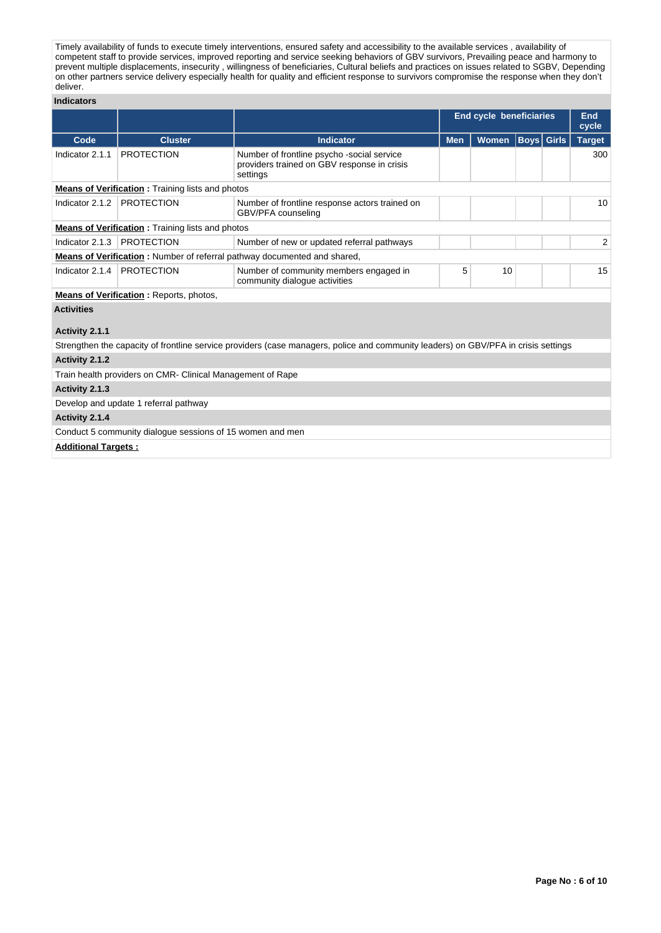Timely availability of funds to execute timely interventions, ensured safety and accessibility to the available services , availability of competent staff to provide services, improved reporting and service seeking behaviors of GBV survivors, Prevailing peace and harmony to prevent multiple displacements, insecurity , willingness of beneficiaries, Cultural beliefs and practices on issues related to SGBV, Depending on other partners service delivery especially health for quality and efficient response to survivors compromise the response when they don't deliver.

### **Indicators**

|                            |                                                            |                                                                                                                                    |            | <b>End cycle beneficiaries</b> |                   | End<br>cycle  |
|----------------------------|------------------------------------------------------------|------------------------------------------------------------------------------------------------------------------------------------|------------|--------------------------------|-------------------|---------------|
| Code                       | <b>Cluster</b>                                             | <b>Indicator</b>                                                                                                                   | <b>Men</b> | <b>Women</b>                   | <b>Boys</b> Girls | <b>Target</b> |
| Indicator 2.1.1            | <b>PROTECTION</b>                                          | Number of frontline psycho -social service<br>providers trained on GBV response in crisis<br>settings                              |            |                                |                   | 300           |
|                            | <b>Means of Verification:</b> Training lists and photos    |                                                                                                                                    |            |                                |                   |               |
| Indicator 2.1.2            | <b>PROTECTION</b>                                          | Number of frontline response actors trained on<br>GBV/PFA counseling                                                               |            |                                |                   | 10            |
|                            | <b>Means of Verification:</b> Training lists and photos    |                                                                                                                                    |            |                                |                   |               |
| Indicator 2.1.3            | <b>PROTECTION</b>                                          | Number of new or updated referral pathways                                                                                         |            |                                |                   | 2             |
|                            |                                                            | Means of Verification: Number of referral pathway documented and shared,                                                           |            |                                |                   |               |
| Indicator 2.1.4            | <b>PROTECTION</b>                                          | Number of community members engaged in<br>community dialogue activities                                                            | 5          | 10                             |                   | 15            |
|                            | <b>Means of Verification:</b> Reports, photos,             |                                                                                                                                    |            |                                |                   |               |
| <b>Activities</b>          |                                                            |                                                                                                                                    |            |                                |                   |               |
| Activity 2.1.1             |                                                            |                                                                                                                                    |            |                                |                   |               |
|                            |                                                            | Strengthen the capacity of frontline service providers (case managers, police and community leaders) on GBV/PFA in crisis settings |            |                                |                   |               |
| Activity 2.1.2             |                                                            |                                                                                                                                    |            |                                |                   |               |
|                            | Train health providers on CMR- Clinical Management of Rape |                                                                                                                                    |            |                                |                   |               |
| Activity 2.1.3             |                                                            |                                                                                                                                    |            |                                |                   |               |
|                            | Develop and update 1 referral pathway                      |                                                                                                                                    |            |                                |                   |               |
| Activity 2.1.4             |                                                            |                                                                                                                                    |            |                                |                   |               |
|                            | Conduct 5 community dialogue sessions of 15 women and men  |                                                                                                                                    |            |                                |                   |               |
| <b>Additional Targets:</b> |                                                            |                                                                                                                                    |            |                                |                   |               |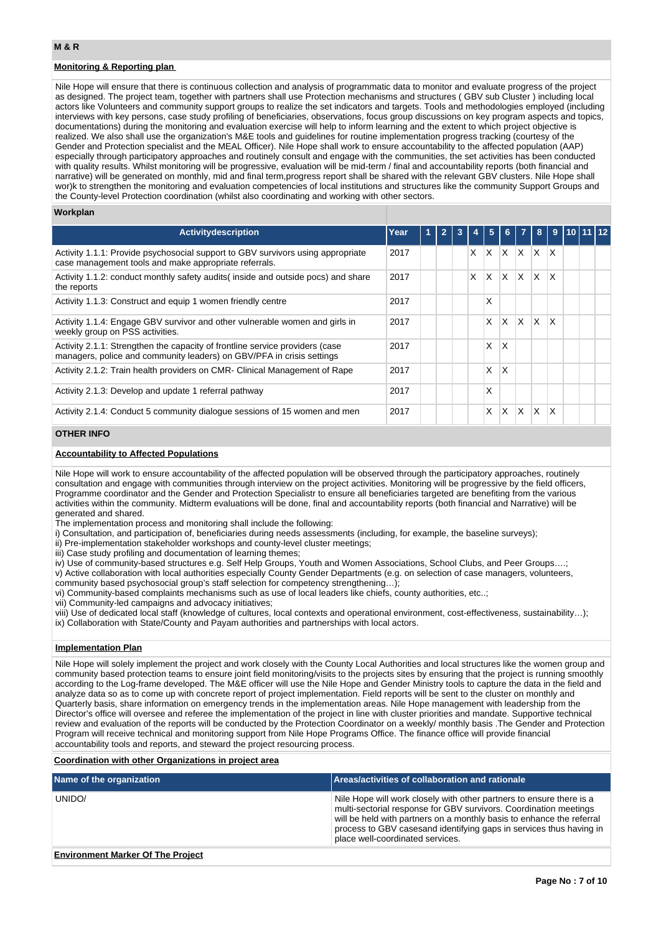## **Monitoring & Reporting plan**

Nile Hope will ensure that there is continuous collection and analysis of programmatic data to monitor and evaluate progress of the project as designed. The project team, together with partners shall use Protection mechanisms and structures ( GBV sub Cluster ) including local actors like Volunteers and community support groups to realize the set indicators and targets. Tools and methodologies employed (including interviews with key persons, case study profiling of beneficiaries, observations, focus group discussions on key program aspects and topics, documentations) during the monitoring and evaluation exercise will help to inform learning and the extent to which project objective is realized. We also shall use the organization's M&E tools and guidelines for routine implementation progress tracking (courtesy of the Gender and Protection specialist and the MEAL Officer). Nile Hope shall work to ensure accountability to the affected population (AAP) especially through participatory approaches and routinely consult and engage with the communities, the set activities has been conducted with quality results. Whilst monitoring will be progressive, evaluation will be mid-term / final and accountability reports (both financial and narrative) will be generated on monthly, mid and final term,progress report shall be shared with the relevant GBV clusters. Nile Hope shall wor)k to strengthen the monitoring and evaluation competencies of local institutions and structures like the community Support Groups and the County-level Protection coordination (whilst also coordinating and working with other sectors.

### **Workplan**

| <b>Activitydescription</b>                                                                                                                            | Year | $\overline{1}$ | $\overline{2}$ | 3 | 4        | 5 <sup>1</sup> | 6           | $\overline{7}$ | 8 <sup>1</sup> | -9                      | $\sqrt{10}$ 11 12 |  |
|-------------------------------------------------------------------------------------------------------------------------------------------------------|------|----------------|----------------|---|----------|----------------|-------------|----------------|----------------|-------------------------|-------------------|--|
| Activity 1.1.1: Provide psychosocial support to GBV survivors using appropriate<br>case management tools and make appropriate referrals.              | 2017 |                |                |   | $\times$ | ΙX.            | $ X $ $ X $ |                |                | $\mathsf{I} \mathsf{X}$ |                   |  |
| Activity 1.1.2: conduct monthly safety audits (inside and outside pocs) and share<br>the reports                                                      | 2017 |                |                |   | X        | X              | $ X $ $ X $ |                | IX.            | ΙX                      |                   |  |
| Activity 1.1.3: Construct and equip 1 women friendly centre                                                                                           | 2017 |                |                |   |          | X              |             |                |                |                         |                   |  |
| Activity 1.1.4: Engage GBV survivor and other vulnerable women and girls in<br>weekly group on PSS activities.                                        | 2017 |                |                |   |          | X              | ΙX.         | $\mathsf{X}$   | lx.            | ΙX                      |                   |  |
| Activity 2.1.1: Strengthen the capacity of frontline service providers (case<br>managers, police and community leaders) on GBV/PFA in crisis settings | 2017 |                |                |   |          | X              | $\times$    |                |                |                         |                   |  |
| Activity 2.1.2: Train health providers on CMR- Clinical Management of Rape                                                                            | 2017 |                |                |   |          | X              | $\times$    |                |                |                         |                   |  |
| Activity 2.1.3: Develop and update 1 referral pathway                                                                                                 | 2017 |                |                |   |          | X              |             |                |                |                         |                   |  |
| Activity 2.1.4: Conduct 5 community dialogue sessions of 15 women and men                                                                             | 2017 |                |                |   |          | X              | X.          | X.             | <b>X</b>       | $\mathsf{X}$            |                   |  |

## **OTHER INFO**

### **Accountability to Affected Populations**

Nile Hope will work to ensure accountability of the affected population will be observed through the participatory approaches, routinely consultation and engage with communities through interview on the project activities. Monitoring will be progressive by the field officers, Programme coordinator and the Gender and Protection Specialistr to ensure all beneficiaries targeted are benefiting from the various activities within the community. Midterm evaluations will be done, final and accountability reports (both financial and Narrative) will be generated and shared.

The implementation process and monitoring shall include the following:

i) Consultation, and participation of, beneficiaries during needs assessments (including, for example, the baseline surveys);

ii) Pre-implementation stakeholder workshops and county-level cluster meetings;

iii) Case study profiling and documentation of learning themes;

iv) Use of community-based structures e.g. Self Help Groups, Youth and Women Associations, School Clubs, and Peer Groups….;

v) Active collaboration with local authorities especially County Gender Departments (e.g. on selection of case managers, volunteers,

community based psychosocial group's staff selection for competency strengthening...);

vi) Community-based complaints mechanisms such as use of local leaders like chiefs, county authorities, etc..;

vii) Community-led campaigns and advocacy initiatives;

viii) Use of dedicated local staff (knowledge of cultures, local contexts and operational environment, cost-effectiveness, sustainability…); ix) Collaboration with State/County and Payam authorities and partnerships with local actors.

#### **Implementation Plan**

Nile Hope will solely implement the project and work closely with the County Local Authorities and local structures like the women group and community based protection teams to ensure joint field monitoring/visits to the projects sites by ensuring that the project is running smoothly according to the Log-frame developed. The M&E officer will use the Nile Hope and Gender Ministry tools to capture the data in the field and analyze data so as to come up with concrete report of project implementation. Field reports will be sent to the cluster on monthly and Quarterly basis, share information on emergency trends in the implementation areas. Nile Hope management with leadership from the Director's office will oversee and referee the implementation of the project in line with cluster priorities and mandate. Supportive technical review and evaluation of the reports will be conducted by the Protection Coordinator on a weekly/ monthly basis .The Gender and Protection Program will receive technical and monitoring support from Nile Hope Programs Office. The finance office will provide financial accountability tools and reports, and steward the project resourcing process.

## **Coordination with other Organizations in project area**

| Name of the organization                 | Areas/activities of collaboration and rationale                                                                                                                                                                                                                                                                               |
|------------------------------------------|-------------------------------------------------------------------------------------------------------------------------------------------------------------------------------------------------------------------------------------------------------------------------------------------------------------------------------|
| UNIDO/                                   | Nile Hope will work closely with other partners to ensure there is a<br>multi-sectorial response for GBV survivors. Coordination meetings<br>will be held with partners on a monthly basis to enhance the referral<br>process to GBV casesand identifying gaps in services thus having in<br>place well-coordinated services. |
| <b>Environment Marker Of The Project</b> |                                                                                                                                                                                                                                                                                                                               |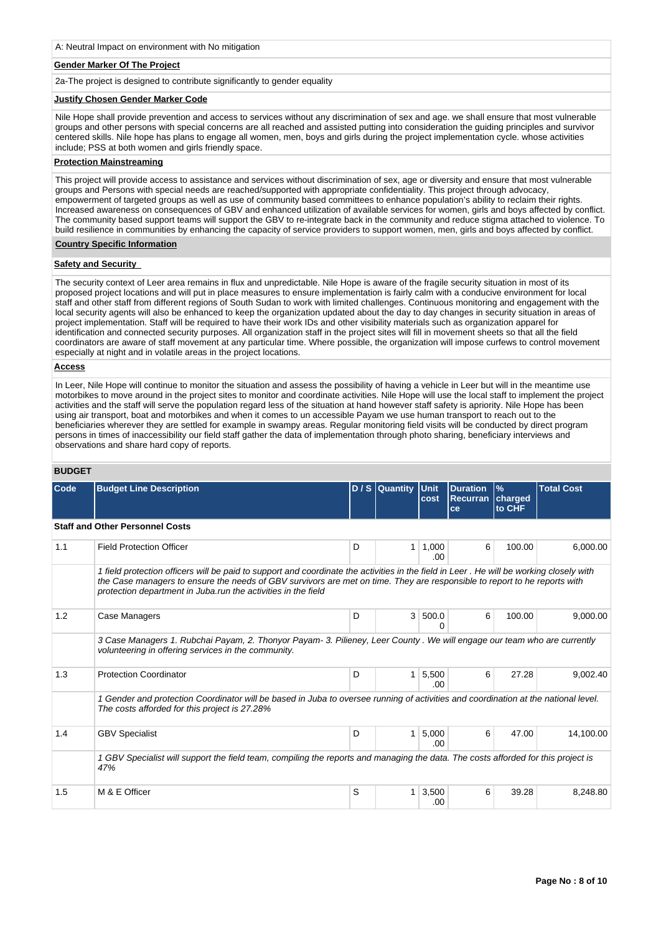### **Gender Marker Of The Project**

2a-The project is designed to contribute significantly to gender equality

#### **Justify Chosen Gender Marker Code**

Nile Hope shall provide prevention and access to services without any discrimination of sex and age. we shall ensure that most vulnerable groups and other persons with special concerns are all reached and assisted putting into consideration the guiding principles and survivor centered skills. Nile hope has plans to engage all women, men, boys and girls during the project implementation cycle. whose activities include; PSS at both women and girls friendly space.

### **Protection Mainstreaming**

This project will provide access to assistance and services without discrimination of sex, age or diversity and ensure that most vulnerable groups and Persons with special needs are reached/supported with appropriate confidentiality. This project through advocacy, empowerment of targeted groups as well as use of community based committees to enhance population's ability to reclaim their rights. Increased awareness on consequences of GBV and enhanced utilization of available services for women, girls and boys affected by conflict. The community based support teams will support the GBV to re-integrate back in the community and reduce stigma attached to violence. To build resilience in communities by enhancing the capacity of service providers to support women, men, girls and boys affected by conflict.

### **Country Specific Information**

### **Safety and Security**

The security context of Leer area remains in flux and unpredictable. Nile Hope is aware of the fragile security situation in most of its proposed project locations and will put in place measures to ensure implementation is fairly calm with a conducive environment for local staff and other staff from different regions of South Sudan to work with limited challenges. Continuous monitoring and engagement with the local security agents will also be enhanced to keep the organization updated about the day to day changes in security situation in areas of project implementation. Staff will be required to have their work IDs and other visibility materials such as organization apparel for identification and connected security purposes. All organization staff in the project sites will fill in movement sheets so that all the field coordinators are aware of staff movement at any particular time. Where possible, the organization will impose curfews to control movement especially at night and in volatile areas in the project locations.

#### **Access**

In Leer, Nile Hope will continue to monitor the situation and assess the possibility of having a vehicle in Leer but will in the meantime use motorbikes to move around in the project sites to monitor and coordinate activities. Nile Hope will use the local staff to implement the project activities and the staff will serve the population regard less of the situation at hand however staff safety is apriority. Nile Hope has been using air transport, boat and motorbikes and when it comes to un accessible Payam we use human transport to reach out to the beneficiaries wherever they are settled for example in swampy areas. Regular monitoring field visits will be conducted by direct program persons in times of inaccessibility our field staff gather the data of implementation through photo sharing, beneficiary interviews and observations and share hard copy of reports.

# **BUDGET**

| Code | <b>Budget Line Description</b>                                                                                                                                                                                                                                                                                                        |   | D / S Quantity Unit | cost          | <b>Duration</b><br><b>Recurran</b><br>ce | $\frac{9}{6}$<br>charged<br>to CHF | <b>Total Cost</b> |
|------|---------------------------------------------------------------------------------------------------------------------------------------------------------------------------------------------------------------------------------------------------------------------------------------------------------------------------------------|---|---------------------|---------------|------------------------------------------|------------------------------------|-------------------|
|      | <b>Staff and Other Personnel Costs</b>                                                                                                                                                                                                                                                                                                |   |                     |               |                                          |                                    |                   |
| 1.1  | <b>Field Protection Officer</b>                                                                                                                                                                                                                                                                                                       | D | 1 <sup>1</sup>      | 1,000<br>.00. | 6                                        | 100.00                             | 6,000.00          |
|      | 1 field protection officers will be paid to support and coordinate the activities in the field in Leer. He will be working closely with<br>the Case managers to ensure the needs of GBV survivors are met on time. They are responsible to report to he reports with<br>protection department in Juba.run the activities in the field |   |                     |               |                                          |                                    |                   |
| 1.2  | Case Managers                                                                                                                                                                                                                                                                                                                         | D | 3 <sup>1</sup>      | 500.0<br>0    | 6                                        | 100.00                             | 9,000.00          |
|      | 3 Case Managers 1. Rubchai Payam, 2. Thonyor Payam- 3. Pilieney, Leer County . We will engage our team who are currently<br>volunteering in offering services in the community.                                                                                                                                                       |   |                     |               |                                          |                                    |                   |
| 1.3  | <b>Protection Coordinator</b>                                                                                                                                                                                                                                                                                                         | D | $\mathbf{1}$        | 5,500<br>.00  | 6                                        | 27.28                              | 9,002.40          |
|      | 1 Gender and protection Coordinator will be based in Juba to oversee running of activities and coordination at the national level.<br>The costs afforded for this project is 27.28%                                                                                                                                                   |   |                     |               |                                          |                                    |                   |
| 1.4  | <b>GBV Specialist</b>                                                                                                                                                                                                                                                                                                                 | D | 1                   | 5,000<br>.00. | 6                                        | 47.00                              | 14.100.00         |
|      | 1 GBV Specialist will support the field team, compiling the reports and managing the data. The costs afforded for this project is<br>47%                                                                                                                                                                                              |   |                     |               |                                          |                                    |                   |
| 1.5  | M & E Officer                                                                                                                                                                                                                                                                                                                         | S | 1                   | 3,500<br>.00  | 6                                        | 39.28                              | 8,248.80          |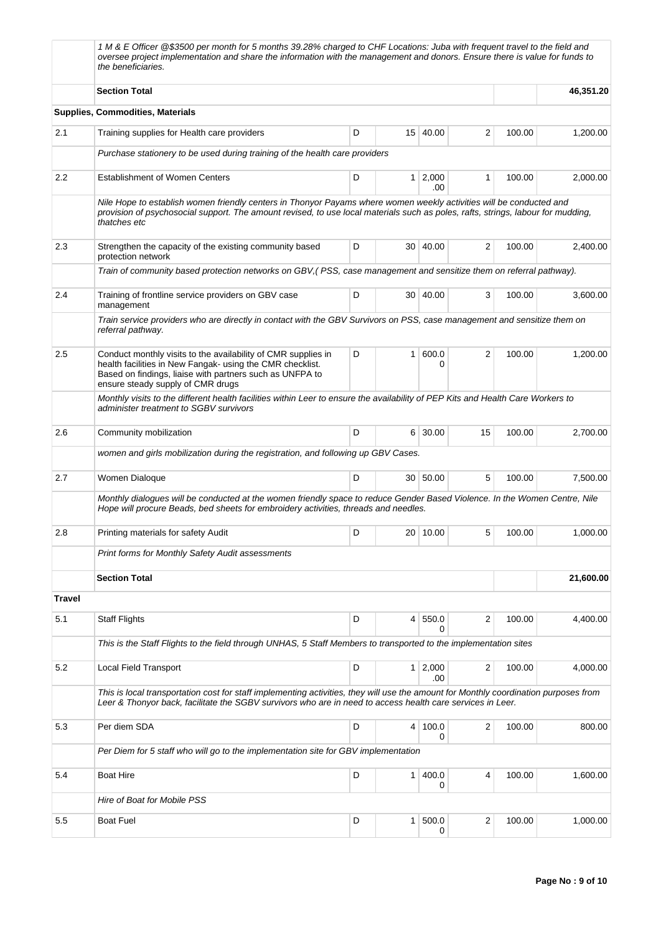|               | 1 M & E Officer @\$3500 per month for 5 months 39.28% charged to CHF Locations: Juba with frequent travel to the field and<br>oversee project implementation and share the information with the management and donors. Ensure there is value for funds to<br>the beneficiaries. |   |                |                       |    |        |           |
|---------------|---------------------------------------------------------------------------------------------------------------------------------------------------------------------------------------------------------------------------------------------------------------------------------|---|----------------|-----------------------|----|--------|-----------|
|               | <b>Section Total</b>                                                                                                                                                                                                                                                            |   |                |                       |    |        | 46,351.20 |
|               | Supplies, Commodities, Materials                                                                                                                                                                                                                                                |   |                |                       |    |        |           |
| 2.1           | Training supplies for Health care providers                                                                                                                                                                                                                                     | D |                | 15 40.00              | 2  | 100.00 | 1,200.00  |
|               | Purchase stationery to be used during training of the health care providers                                                                                                                                                                                                     |   |                |                       |    |        |           |
| 2.2           | <b>Establishment of Women Centers</b>                                                                                                                                                                                                                                           | D |                | $1 \mid 2,000$<br>.00 | 1  | 100.00 | 2,000.00  |
|               | Nile Hope to establish women friendly centers in Thonyor Payams where women weekly activities will be conducted and<br>provision of psychosocial support. The amount revised, to use local materials such as poles, rafts, strings, labour for mudding,<br>thatches etc         |   |                |                       |    |        |           |
| 2.3           | Strengthen the capacity of the existing community based<br>protection network                                                                                                                                                                                                   | D |                | 30   40.00            | 2  | 100.00 | 2,400.00  |
|               | Train of community based protection networks on GBV, (PSS, case management and sensitize them on referral pathway).                                                                                                                                                             |   |                |                       |    |        |           |
| 2.4           | Training of frontline service providers on GBV case<br>management                                                                                                                                                                                                               | D |                | 30 40.00              | 3  | 100.00 | 3,600.00  |
|               | Train service providers who are directly in contact with the GBV Survivors on PSS, case management and sensitize them on<br>referral pathway.                                                                                                                                   |   |                |                       |    |        |           |
| 2.5           | Conduct monthly visits to the availability of CMR supplies in<br>health facilities in New Fangak- using the CMR checklist.<br>Based on findings, liaise with partners such as UNFPA to<br>ensure steady supply of CMR drugs                                                     | D | 1 <sup>1</sup> | 600.0<br>0            | 2  | 100.00 | 1,200.00  |
|               | Monthly visits to the different health facilities within Leer to ensure the availability of PEP Kits and Health Care Workers to<br>administer treatment to SGBV survivors                                                                                                       |   |                |                       |    |        |           |
| 2.6           | Community mobilization                                                                                                                                                                                                                                                          | D |                | 6 30.00               | 15 | 100.00 | 2,700.00  |
|               | women and girls mobilization during the registration, and following up GBV Cases.                                                                                                                                                                                               |   |                |                       |    |        |           |
| 2.7           | Women Dialoque                                                                                                                                                                                                                                                                  | D |                | 30 50.00              | 5  | 100.00 | 7,500.00  |
|               | Monthly dialogues will be conducted at the women friendly space to reduce Gender Based Violence. In the Women Centre, Nile<br>Hope will procure Beads, bed sheets for embroidery activities, threads and needles.                                                               |   |                |                       |    |        |           |
| 2.8           | Printing materials for safety Audit                                                                                                                                                                                                                                             | D |                | 20 10.00              | 5  | 100.00 | 1,000.00  |
|               | <b>Print forms for Monthly Safety Audit assessments</b>                                                                                                                                                                                                                         |   |                |                       |    |        |           |
|               | <b>Section Total</b>                                                                                                                                                                                                                                                            |   |                |                       |    |        | 21,600.00 |
| <b>Travel</b> |                                                                                                                                                                                                                                                                                 |   |                |                       |    |        |           |
| 5.1           | <b>Staff Flights</b>                                                                                                                                                                                                                                                            | D |                | 4 550.0<br>$\Omega$   | 2  | 100.00 | 4,400.00  |
|               | This is the Staff Flights to the field through UNHAS, 5 Staff Members to transported to the implementation sites                                                                                                                                                                |   |                |                       |    |        |           |
| 5.2           | <b>Local Field Transport</b>                                                                                                                                                                                                                                                    | D |                | $1 \mid 2,000$<br>.00 | 2  | 100.00 | 4,000.00  |
|               | This is local transportation cost for staff implementing activities, they will use the amount for Monthly coordination purposes from<br>Leer & Thonyor back, facilitate the SGBV survivors who are in need to access health care services in Leer.                              |   |                |                       |    |        |           |
| 5.3           | Per diem SDA                                                                                                                                                                                                                                                                    | D | 4 <sup>1</sup> | 100.0<br>0            | 2  | 100.00 | 800.00    |
|               | Per Diem for 5 staff who will go to the implementation site for GBV implementation                                                                                                                                                                                              |   |                |                       |    |        |           |
| 5.4           | <b>Boat Hire</b>                                                                                                                                                                                                                                                                | D | 1 <sup>1</sup> | 400.0<br>0            | 4  | 100.00 | 1,600.00  |
|               | Hire of Boat for Mobile PSS                                                                                                                                                                                                                                                     |   |                |                       |    |        |           |
| 5.5           | <b>Boat Fuel</b>                                                                                                                                                                                                                                                                | D |                | 1 500.0<br>0          | 2  | 100.00 | 1,000.00  |